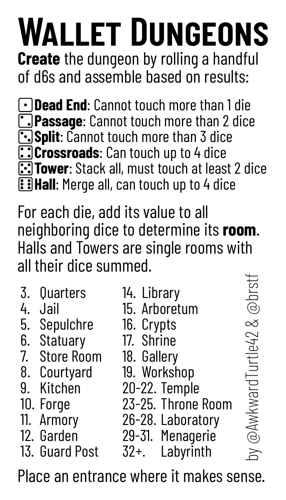## **Wallet Dungeons**

**Create** the dungeon by rolling a handful of d6s and assemble based on results:

**Dead End**: Cannot touch more than 1 die **Passage**: Cannot touch more than 2 dice **Split**: Cannot touch more than 3 dice **Crossroads**: Can touch up to 4 dice **Tower**: Stack all, must touch at least 2 dice **Hall:** Merge all, can touch up to 4 dice

For each die, add its value to all neighboring dice to determine its **room**. Halls and Towers are single rooms with all their dice summed.

| 3. Quarters<br>4. Jail<br>5. Sepulchre<br>6. Statuary<br>7. Store Room<br>8. Courtyard<br>9. Kitchen<br>10. Forge<br>11. Armory | 14. Library<br>15. Arboretum<br>16. Crypts<br>17. Shrine<br>18. Gallery<br>19. Workshop<br>20-22. Temple<br>23-25. Throne Room<br>26-28. Laboratory | @brstf<br>@AwkwardTurtle42 & |
|---------------------------------------------------------------------------------------------------------------------------------|-----------------------------------------------------------------------------------------------------------------------------------------------------|------------------------------|
| 12. Garden                                                                                                                      | 29-31. Menagerie                                                                                                                                    |                              |
| 13. Guard Post                                                                                                                  | Labyrinth<br>32+.                                                                                                                                   | $\gtrsim$                    |

Place an entrance where it makes sense.